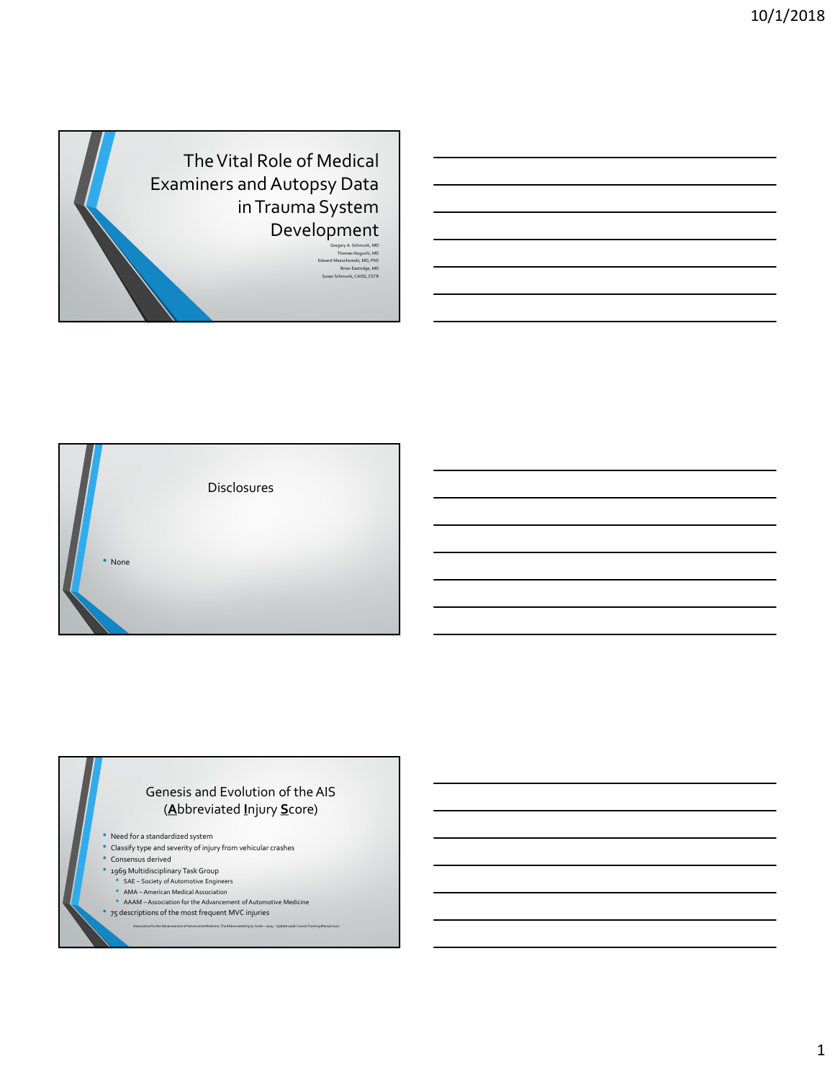





1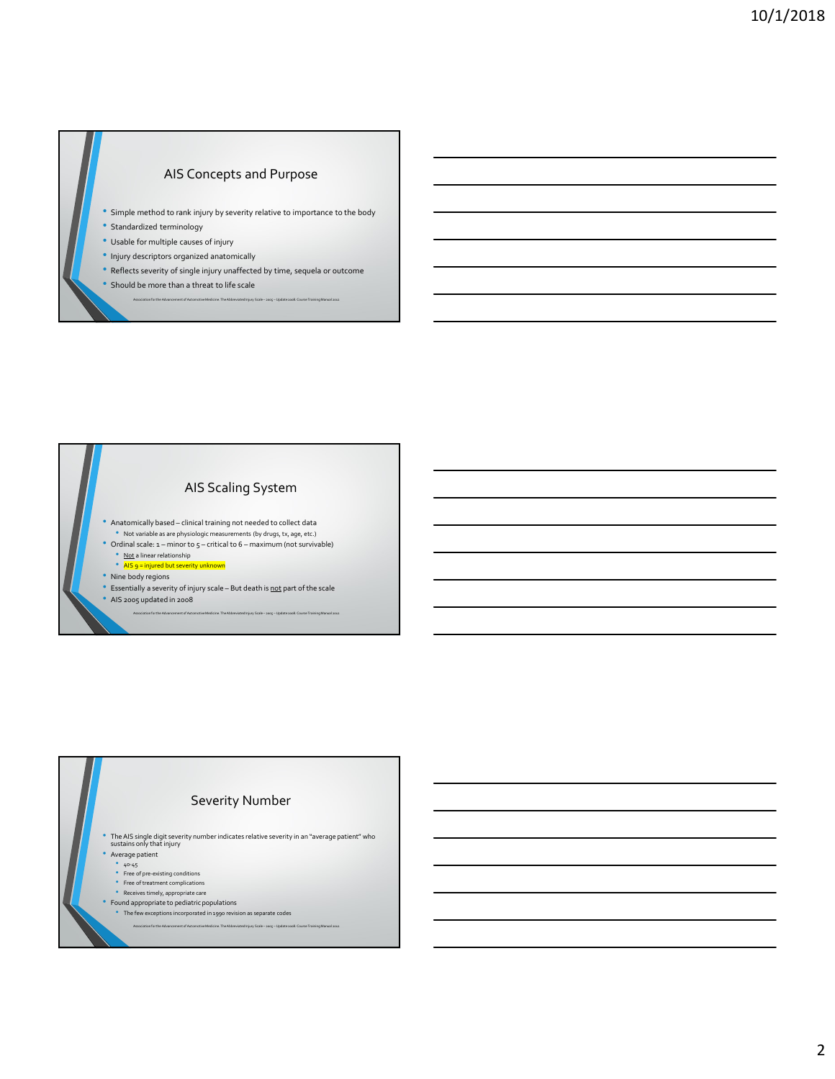## AIS Concepts and Purpose

- Simple method to rank injury by severity relative to importance to the body  $\begin{array}{|c|} \hline \end{array}$  Simple recttod to onk injury by severity either to importance to the Advy<br>  $\begin{array}{|c|} \hline \end{array}$  Standardord terminology<br>  $\begin{array}{|c|} \hline \end{array}$  Highly description cognized anotomically<br>  $\begin{array}{|c|} \hline \end{array}$
- Standardized terminology
- Usable for multiple causes of injury
- Injury descriptors organized anatomically
- Reflects severity of single injury unaffected by time, sequela or outcome
- 

AIS Scaling System • Simple method to relate the internal trajes by severity relative to importance so the bady<br>
• Standardized terminology<br>
• Usable for multiple causes of injury<br>
• The Rests severity of single nighty undifferently trans, s • Anatomically based – clinical training not needed to collect data<br>• Not variable as are physiologic measurements (by drugs, tx, age, etc.) • Simple method to rank inputy by severify relative to friportext to the body<br>• Urable for multiple counter of mayr<br>• United for multiple counter of mayr<br>• Biffulness scale to 6 – minor survival control to find the surviva • Not a linear relationship<br>• AIS 9 = injured but severity • Nine body regions<br>• Essentially a severity of injury scale – But death is not part of the scale • Essential the second of the state of the state of the square and a second of the state and the state of the scale<br>
• Estate Liberty of the state of the scale<br>
• Estate of the scale – But death is not part of the scale • Relations are the Advancement of Automotive Medicine.<br>• And the Advancement of Automotive Medicine. The Advancement of Automotive Medicine.<br>• Also control the Abbreviated International 2013<br>• His control to a social 2012

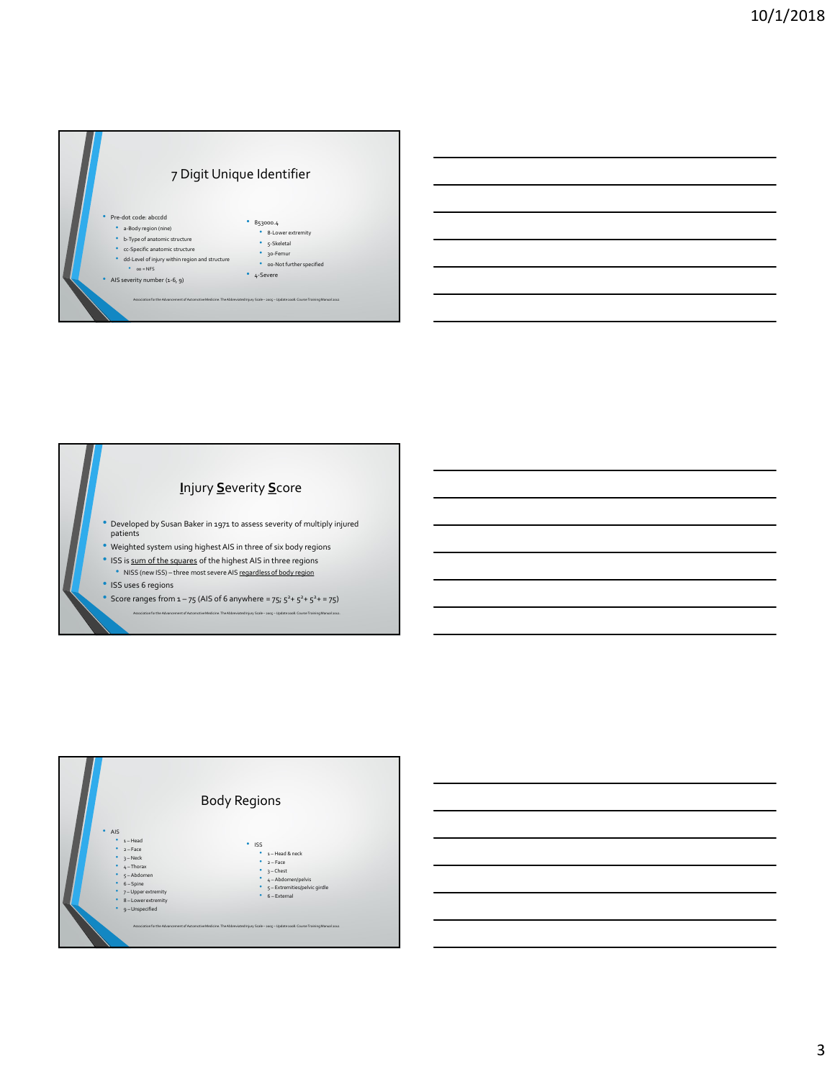



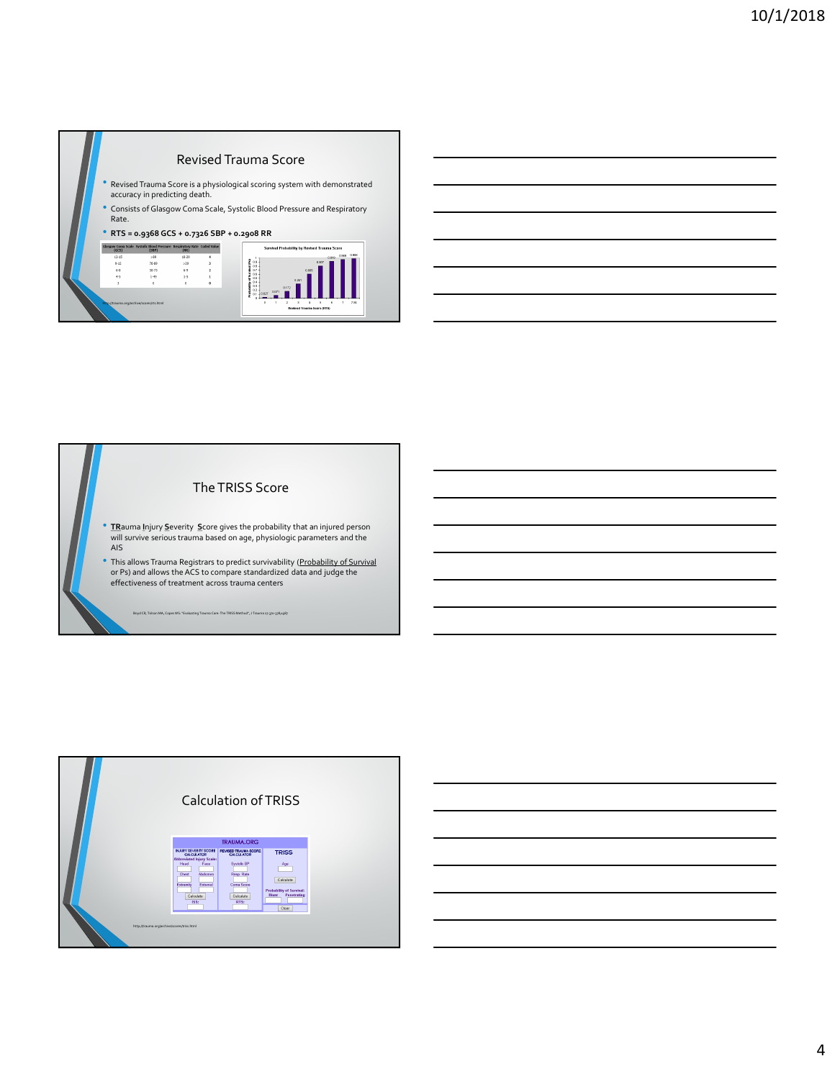



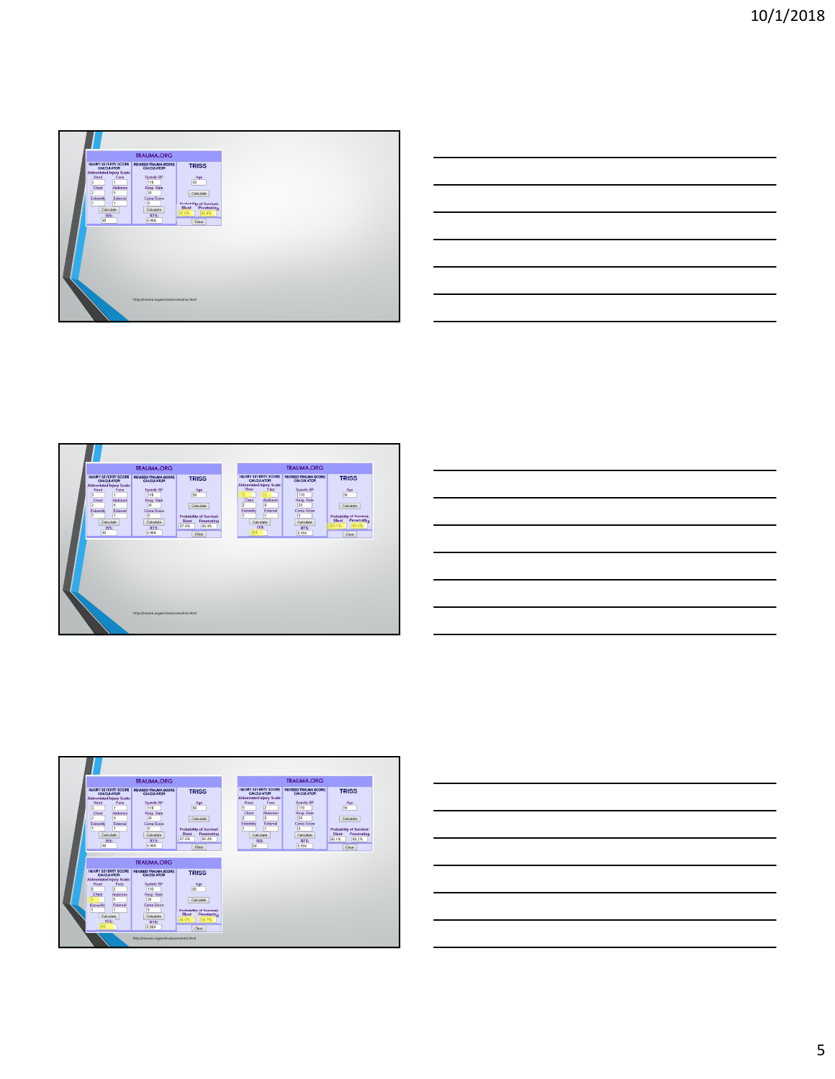

|  | $\sim$ $\sim$                     |
|--|-----------------------------------|
|  | ______                            |
|  | and the control of the control of |
|  | ___                               |
|  |                                   |
|  |                                   |







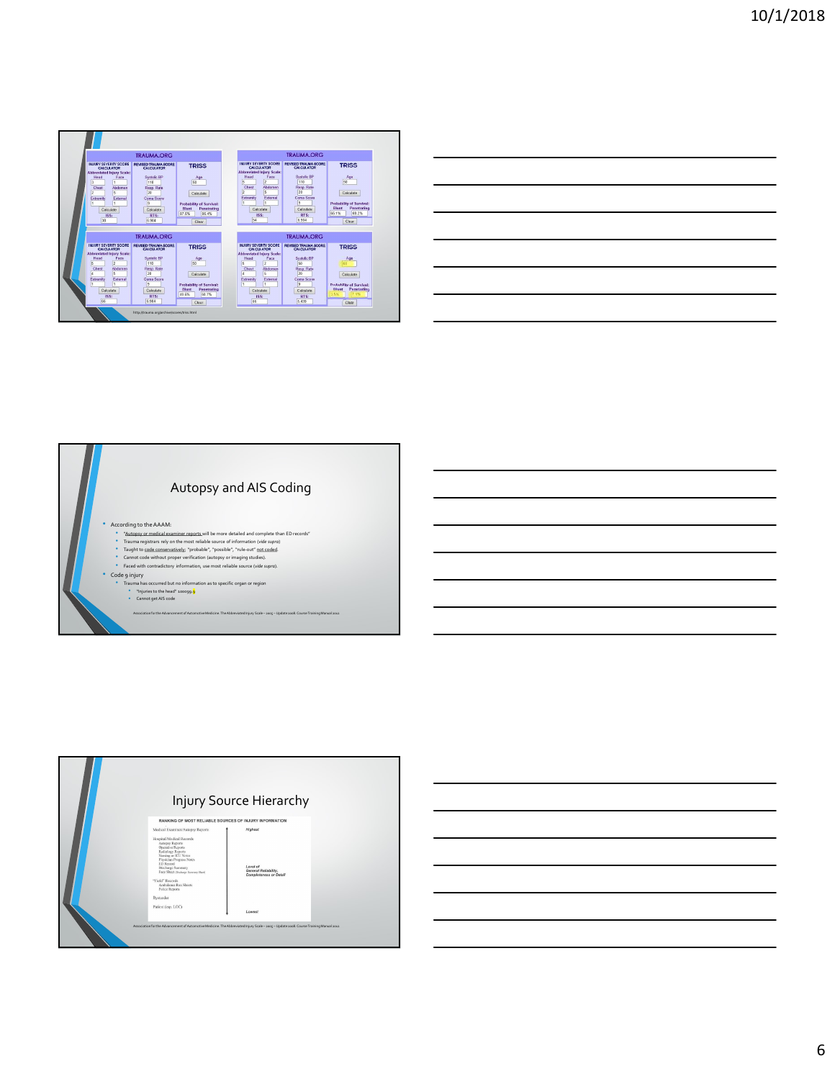

| <u> 1989 - Andrea Santa Andrea Andrea Andrea Andrea Andrea Andrea Andrea Andrea Andrea Andrea Andrea Andrea Andr</u> |  |  |
|----------------------------------------------------------------------------------------------------------------------|--|--|
|                                                                                                                      |  |  |
|                                                                                                                      |  |  |
|                                                                                                                      |  |  |
|                                                                                                                      |  |  |
| <u> 1989 - Johann Stoff, amerikansk politiker (d. 1989)</u>                                                          |  |  |
|                                                                                                                      |  |  |





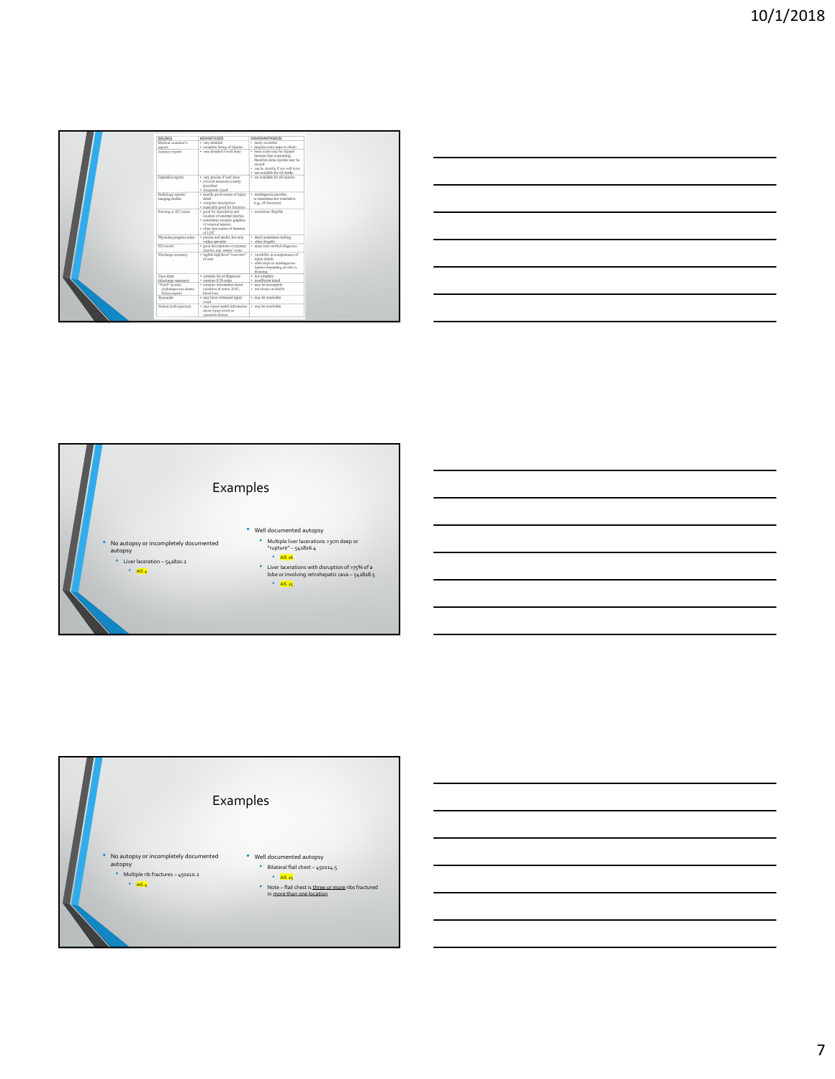| SOURCE                                                    | ADVANTAGES                                                                                                                                                        | DISADVANTAGE(S)                                                                                                                                                           |
|-----------------------------------------------------------|-------------------------------------------------------------------------------------------------------------------------------------------------------------------|---------------------------------------------------------------------------------------------------------------------------------------------------------------------------|
| Medical examiner's                                        | · very detailed                                                                                                                                                   | · rarely available                                                                                                                                                        |
| reports                                                   | · complete listing of injuries                                                                                                                                    | · requires extra steps to obtain                                                                                                                                          |
| Autopsy reports                                           | · very detailed if well done                                                                                                                                      | · brain exam may be skipped<br>because time consuming:<br>therefore some injuries may be<br>missed<br>· can be sketchy if not well done<br>· not available for all deaths |
| Operative reports                                         | · very precise if well done<br>· external measures usually<br>described<br>· frequently typed                                                                     | · not available for all injuries                                                                                                                                          |
| Radiology reports/<br>imaging studies                     | · usually good source of injury<br>detail<br>· complete descriptions<br>· especially good for fractures                                                           | · misdiagnosis possible<br>or sometimes not conclusive<br>(e.g., rib fractures)                                                                                           |
| Nursing or ICU notes                                      | · good for description and<br>location of external injuries<br>· sometimes contains graphics<br>of external injuries<br>· often hest source of duration<br>of LOC | · sometimes illegible                                                                                                                                                     |
| Physician progress notes                                  | · precise and useful, but only<br>within specialty                                                                                                                | · detail sometimes lacking<br>· often illegible                                                                                                                           |
| ED record                                                 | · ered descriptions of external<br>injuries, esp. nurses' notes.                                                                                                  | · many non-verified disonoses                                                                                                                                             |
| Discharge summary                                         | · legible high level "overview"<br>of case.                                                                                                                       | · variability in completeness of<br>iniury details.<br>· often skips or misdiagnoses<br>injuries depending on who is<br>dictating                                         |
| Face sheet<br>(discharge summary).                        | · contains list of diagnoses<br>· contains ICD codes                                                                                                              | · not complete<br>· insufficient detail                                                                                                                                   |
| "Field" records<br>Ambalance run sheets<br>Police reports | · contains information about<br>condition at scene, LOC.<br>blood loss.                                                                                           | · may be incomplete<br>· not always available                                                                                                                             |
| Bystander                                                 | · may have witnessed injury<br>evert                                                                                                                              | · may be unreliable                                                                                                                                                       |
| Patient (self-reported)                                   | · may report useful information<br>about injury event or<br>causative factors                                                                                     | · may be unreliable                                                                                                                                                       |

| ires extra steps to obtain<br>n exam may be skipped<br>suse time consuming;<br>efore some injuries may be                                                                                                                          |  |  |
|------------------------------------------------------------------------------------------------------------------------------------------------------------------------------------------------------------------------------------|--|--|
|                                                                                                                                                                                                                                    |  |  |
|                                                                                                                                                                                                                                    |  |  |
|                                                                                                                                                                                                                                    |  |  |
| and<br>be sketchy if not well done<br>available for all deaths<br>available for all injuries                                                                                                                                       |  |  |
|                                                                                                                                                                                                                                    |  |  |
|                                                                                                                                                                                                                                    |  |  |
|                                                                                                                                                                                                                                    |  |  |
| fingnosis possible<br>smetimes not conclusive<br>, rib fractures)                                                                                                                                                                  |  |  |
| etines illegible                                                                                                                                                                                                                   |  |  |
|                                                                                                                                                                                                                                    |  |  |
|                                                                                                                                                                                                                                    |  |  |
|                                                                                                                                                                                                                                    |  |  |
|                                                                                                                                                                                                                                    |  |  |
| il sometimes lacking<br>n illegible<br>ty non-verified diagnoses                                                                                                                                                                   |  |  |
|                                                                                                                                                                                                                                    |  |  |
|                                                                                                                                                                                                                                    |  |  |
|                                                                                                                                                                                                                                    |  |  |
|                                                                                                                                                                                                                                    |  |  |
|                                                                                                                                                                                                                                    |  |  |
| ability in completeness of<br>ry details<br>ry sletsils<br>in slops or misdiagnoses<br>ries depending on who is<br>string<br>complete<br>filiciesnt detail<br>the incomplete<br>be incomplete<br>be incomplete<br>always available |  |  |
| be unreliable                                                                                                                                                                                                                      |  |  |
| be unreliable                                                                                                                                                                                                                      |  |  |
|                                                                                                                                                                                                                                    |  |  |
|                                                                                                                                                                                                                                    |  |  |
|                                                                                                                                                                                                                                    |  |  |
|                                                                                                                                                                                                                                    |  |  |
|                                                                                                                                                                                                                                    |  |  |
|                                                                                                                                                                                                                                    |  |  |
|                                                                                                                                                                                                                                    |  |  |
|                                                                                                                                                                                                                                    |  |  |
|                                                                                                                                                                                                                                    |  |  |
|                                                                                                                                                                                                                                    |  |  |
|                                                                                                                                                                                                                                    |  |  |
|                                                                                                                                                                                                                                    |  |  |
|                                                                                                                                                                                                                                    |  |  |
|                                                                                                                                                                                                                                    |  |  |
|                                                                                                                                                                                                                                    |  |  |
|                                                                                                                                                                                                                                    |  |  |
|                                                                                                                                                                                                                                    |  |  |
|                                                                                                                                                                                                                                    |  |  |
|                                                                                                                                                                                                                                    |  |  |
|                                                                                                                                                                                                                                    |  |  |
|                                                                                                                                                                                                                                    |  |  |
|                                                                                                                                                                                                                                    |  |  |
|                                                                                                                                                                                                                                    |  |  |
|                                                                                                                                                                                                                                    |  |  |
|                                                                                                                                                                                                                                    |  |  |
|                                                                                                                                                                                                                                    |  |  |
|                                                                                                                                                                                                                                    |  |  |
| эs                                                                                                                                                                                                                                 |  |  |
|                                                                                                                                                                                                                                    |  |  |
|                                                                                                                                                                                                                                    |  |  |
|                                                                                                                                                                                                                                    |  |  |
|                                                                                                                                                                                                                                    |  |  |
|                                                                                                                                                                                                                                    |  |  |
|                                                                                                                                                                                                                                    |  |  |
| ell documented autopsy<br>· Multiple liver lacerations >3cm deep or                                                                                                                                                                |  |  |
| "rupture" - 541826.4                                                                                                                                                                                                               |  |  |
|                                                                                                                                                                                                                                    |  |  |
| $\bullet$ AIS 16                                                                                                                                                                                                                   |  |  |
| • Liver lacerations with disruption of >75% of a                                                                                                                                                                                   |  |  |
| lobe or involving retrohepatic cava - 541828.5                                                                                                                                                                                     |  |  |
| $\bullet$ AIS 25                                                                                                                                                                                                                   |  |  |
|                                                                                                                                                                                                                                    |  |  |
|                                                                                                                                                                                                                                    |  |  |
|                                                                                                                                                                                                                                    |  |  |
|                                                                                                                                                                                                                                    |  |  |
|                                                                                                                                                                                                                                    |  |  |
|                                                                                                                                                                                                                                    |  |  |
|                                                                                                                                                                                                                                    |  |  |
|                                                                                                                                                                                                                                    |  |  |